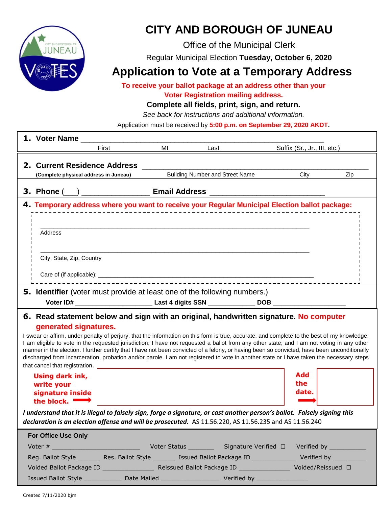

## **CITY AND BOROUGH OF JUNEAU**

Office of the Municipal Clerk

Regular Municipal Election **Tuesday, October 6, 2020**

### **Application to Vote at a Temporary Address**

**To receive your ballot package at an address other than your Voter Registration mailing address.**

### **Complete all fields, print, sign, and return.**

*See back for instructions and additional information.*

Application must be received by **5:00 p.m. on September 29, 2020 AKDT.**

|                                                                                  | 1. Voter Name                                                                                  |       |    |                                                                                                                                                                                                                                                                                           |                                                                                       |     |  |  |  |  |  |
|----------------------------------------------------------------------------------|------------------------------------------------------------------------------------------------|-------|----|-------------------------------------------------------------------------------------------------------------------------------------------------------------------------------------------------------------------------------------------------------------------------------------------|---------------------------------------------------------------------------------------|-----|--|--|--|--|--|
|                                                                                  |                                                                                                | First | MI | Last                                                                                                                                                                                                                                                                                      | Suffix (Sr., Jr., III, etc.)                                                          |     |  |  |  |  |  |
|                                                                                  | 2. Current Residence Address                                                                   |       |    |                                                                                                                                                                                                                                                                                           |                                                                                       |     |  |  |  |  |  |
|                                                                                  | (Complete physical address in Juneau)                                                          |       |    | <b>Building Number and Street Name</b>                                                                                                                                                                                                                                                    | City                                                                                  | Zip |  |  |  |  |  |
|                                                                                  |                                                                                                |       |    |                                                                                                                                                                                                                                                                                           |                                                                                       |     |  |  |  |  |  |
|                                                                                  |                                                                                                |       |    | 3. Phone ( __ ) _______________________ Email Address __________________________                                                                                                                                                                                                          |                                                                                       |     |  |  |  |  |  |
|                                                                                  | 4. Temporary address where you want to receive your Regular Municipal Election ballot package: |       |    |                                                                                                                                                                                                                                                                                           |                                                                                       |     |  |  |  |  |  |
|                                                                                  |                                                                                                |       |    |                                                                                                                                                                                                                                                                                           |                                                                                       |     |  |  |  |  |  |
|                                                                                  | Address                                                                                        |       |    |                                                                                                                                                                                                                                                                                           |                                                                                       |     |  |  |  |  |  |
|                                                                                  |                                                                                                |       |    |                                                                                                                                                                                                                                                                                           |                                                                                       |     |  |  |  |  |  |
|                                                                                  |                                                                                                |       |    |                                                                                                                                                                                                                                                                                           |                                                                                       |     |  |  |  |  |  |
|                                                                                  | City, State, Zip, Country                                                                      |       |    |                                                                                                                                                                                                                                                                                           |                                                                                       |     |  |  |  |  |  |
|                                                                                  |                                                                                                |       |    |                                                                                                                                                                                                                                                                                           |                                                                                       |     |  |  |  |  |  |
|                                                                                  |                                                                                                |       |    |                                                                                                                                                                                                                                                                                           |                                                                                       |     |  |  |  |  |  |
| <b>5. Identifier</b> (voter must provide at least one of the following numbers.) |                                                                                                |       |    |                                                                                                                                                                                                                                                                                           |                                                                                       |     |  |  |  |  |  |
|                                                                                  |                                                                                                |       |    |                                                                                                                                                                                                                                                                                           |                                                                                       |     |  |  |  |  |  |
|                                                                                  |                                                                                                |       |    |                                                                                                                                                                                                                                                                                           | 6. Read statement below and sign with an original, handwritten signature. No computer |     |  |  |  |  |  |
|                                                                                  |                                                                                                |       |    |                                                                                                                                                                                                                                                                                           |                                                                                       |     |  |  |  |  |  |
|                                                                                  | generated signatures.                                                                          |       |    |                                                                                                                                                                                                                                                                                           |                                                                                       |     |  |  |  |  |  |
|                                                                                  |                                                                                                |       |    | I swear or affirm, under penalty of perjury, that the information on this form is true, accurate, and complete to the best of my knowledge;                                                                                                                                               |                                                                                       |     |  |  |  |  |  |
|                                                                                  |                                                                                                |       |    | I am eligible to vote in the requested jurisdiction; I have not requested a ballot from any other state; and I am not voting in any other<br>manner in the election. I further certify that I have not been convicted of a felony, or having been so convicted, have been unconditionally |                                                                                       |     |  |  |  |  |  |
|                                                                                  |                                                                                                |       |    | discharged from incarceration, probation and/or parole. I am not registered to vote in another state or I have taken the necessary steps                                                                                                                                                  |                                                                                       |     |  |  |  |  |  |
|                                                                                  | that cancel that registration.                                                                 |       |    |                                                                                                                                                                                                                                                                                           |                                                                                       |     |  |  |  |  |  |
|                                                                                  | Using dark ink,                                                                                |       |    |                                                                                                                                                                                                                                                                                           | Add<br>the                                                                            |     |  |  |  |  |  |
|                                                                                  | write your<br>signature inside                                                                 |       |    |                                                                                                                                                                                                                                                                                           | date.                                                                                 |     |  |  |  |  |  |
|                                                                                  | the block. $\blacksquare$                                                                      |       |    |                                                                                                                                                                                                                                                                                           |                                                                                       |     |  |  |  |  |  |
|                                                                                  |                                                                                                |       |    | I understand that it is illegal to falsely sign, forge a signature, or cast another person's ballot. Falsely signing this                                                                                                                                                                 |                                                                                       |     |  |  |  |  |  |
|                                                                                  |                                                                                                |       |    | declaration is an election offense and will be prosecuted. AS 11.56.220, AS 11.56.235 and AS 11.56.240                                                                                                                                                                                    |                                                                                       |     |  |  |  |  |  |
|                                                                                  | For Office Use Only                                                                            |       |    |                                                                                                                                                                                                                                                                                           |                                                                                       |     |  |  |  |  |  |
|                                                                                  |                                                                                                |       |    |                                                                                                                                                                                                                                                                                           |                                                                                       |     |  |  |  |  |  |

Voided Ballot Package ID \_\_\_\_\_\_\_\_\_\_\_\_\_\_\_\_\_\_\_\_\_\_\_\_ Reissued Ballot Package ID \_\_\_\_\_\_\_\_\_\_\_\_\_\_\_\_\_\_\_\_\_ Voided/Reissued □

Issued Ballot Style \_\_\_\_\_\_\_\_\_\_\_\_\_\_\_ Date Mailed \_\_\_\_\_\_\_\_\_\_\_\_\_\_\_\_\_\_\_\_\_\_\_\_\_\_ Verified by \_\_\_\_\_\_\_\_\_\_\_\_\_